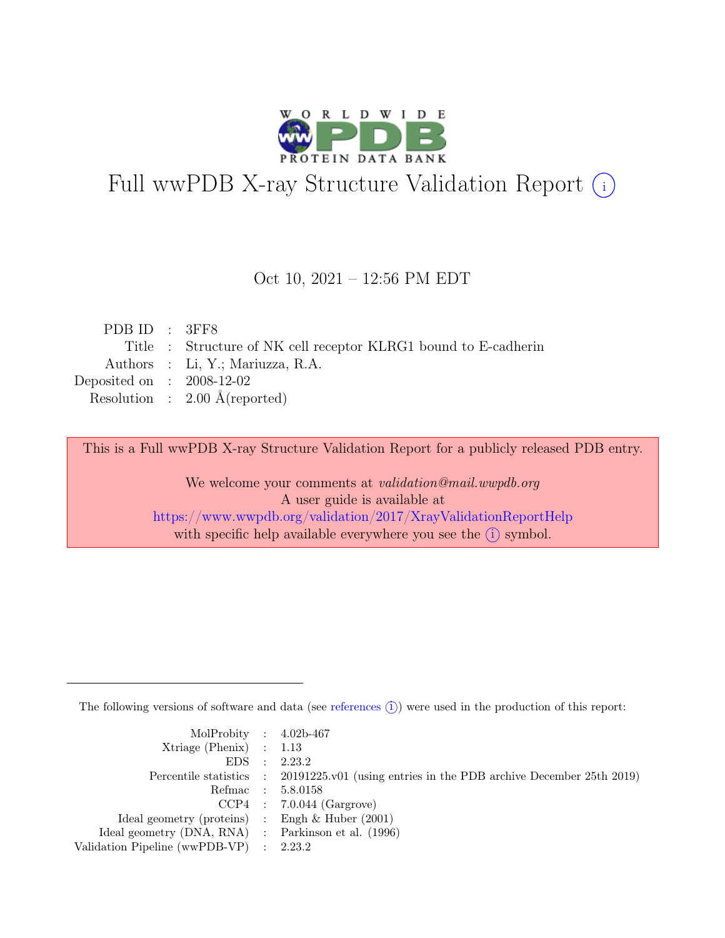

# Full wwPDB X-ray Structure Validation Report  $(i)$

#### Oct 10, 2021 – 12:56 PM EDT

| PDBID : 3FF8                |                                                                 |
|-----------------------------|-----------------------------------------------------------------|
|                             | Title : Structure of NK cell receptor KLRG1 bound to E-cadherin |
|                             | Authors : Li, Y.; Mariuzza, R.A.                                |
| Deposited on : $2008-12-02$ |                                                                 |
|                             | Resolution : $2.00 \text{ Å}$ (reported)                        |

This is a Full wwPDB X-ray Structure Validation Report for a publicly released PDB entry.

We welcome your comments at validation@mail.wwpdb.org A user guide is available at <https://www.wwpdb.org/validation/2017/XrayValidationReportHelp> with specific help available everywhere you see the  $(i)$  symbol.

The following versions of software and data (see [references](https://www.wwpdb.org/validation/2017/XrayValidationReportHelp#references)  $(i)$ ) were used in the production of this report:

| MolProbity : $4.02b-467$                            |                                                                                            |
|-----------------------------------------------------|--------------------------------------------------------------------------------------------|
| $Xtriangle (Phenix)$ : 1.13                         |                                                                                            |
|                                                     | EDS : 2.23.2                                                                               |
|                                                     | Percentile statistics : 20191225.v01 (using entries in the PDB archive December 25th 2019) |
|                                                     | Refmac : 5.8.0158                                                                          |
|                                                     | $CCP4$ : 7.0.044 (Gargrove)                                                                |
| Ideal geometry (proteins) : Engh $\&$ Huber (2001)  |                                                                                            |
| Ideal geometry (DNA, RNA) : Parkinson et al. (1996) |                                                                                            |
| Validation Pipeline (wwPDB-VP) : 2.23.2             |                                                                                            |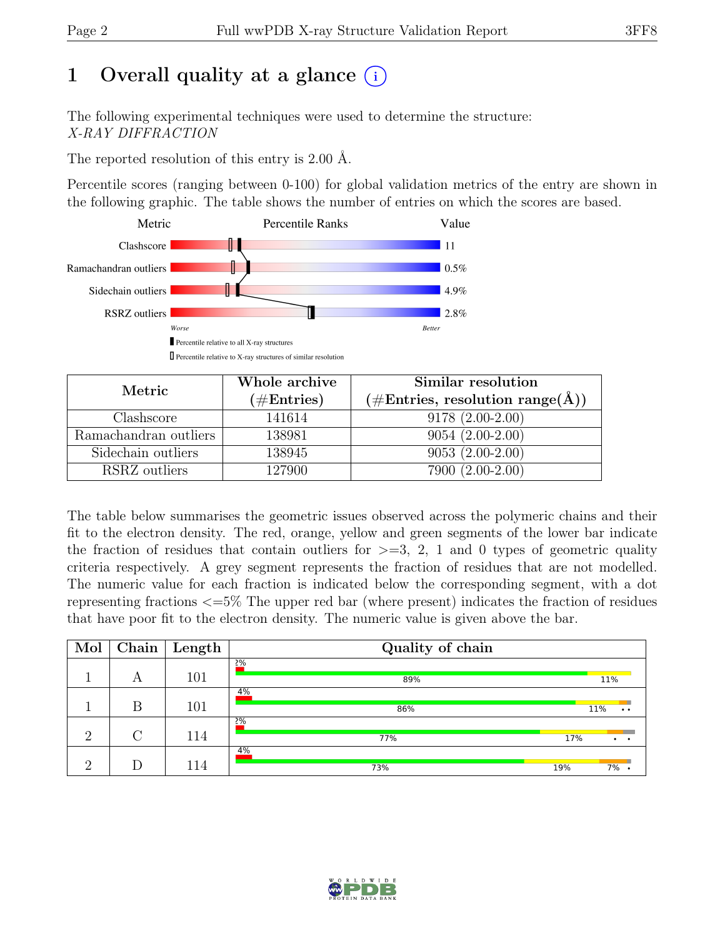# 1 Overall quality at a glance  $(i)$

The following experimental techniques were used to determine the structure: X-RAY DIFFRACTION

The reported resolution of this entry is 2.00 Å.

Percentile scores (ranging between 0-100) for global validation metrics of the entry are shown in the following graphic. The table shows the number of entries on which the scores are based.



| Metric                | Whole archive<br>$(\#Entries)$ | Similar resolution<br>$(\# \text{Entries}, \text{ resolution range}(\AA))$ |
|-----------------------|--------------------------------|----------------------------------------------------------------------------|
| Clashscore            | 141614                         | $9178(2.00-2.00)$                                                          |
| Ramachandran outliers | 138981                         | $9054(2.00-2.00)$                                                          |
| Sidechain outliers    | 138945                         | $9053(2.00-2.00)$                                                          |
| RSRZ outliers         | 127900                         | 7900 (2.00-2.00)                                                           |

The table below summarises the geometric issues observed across the polymeric chains and their fit to the electron density. The red, orange, yellow and green segments of the lower bar indicate the fraction of residues that contain outliers for  $>=$  3, 2, 1 and 0 types of geometric quality criteria respectively. A grey segment represents the fraction of residues that are not modelled. The numeric value for each fraction is indicated below the corresponding segment, with a dot representing fractions <=5% The upper red bar (where present) indicates the fraction of residues that have poor fit to the electron density. The numeric value is given above the bar.

| Mol      | Chain $\vert$ | $\mid$ Length | Quality of chain |                        |
|----------|---------------|---------------|------------------|------------------------|
|          | А             | 101           | 2%<br>89%        | 11%                    |
|          | В             | 101           | 4%<br>86%        | 11%<br>$\cdot$ $\cdot$ |
| $\Omega$ | $\cap$        | 114           | 2%<br>77%        | 17%                    |
| $\Omega$ |               | 114           | 4%<br>73%        | 19%<br>7%              |

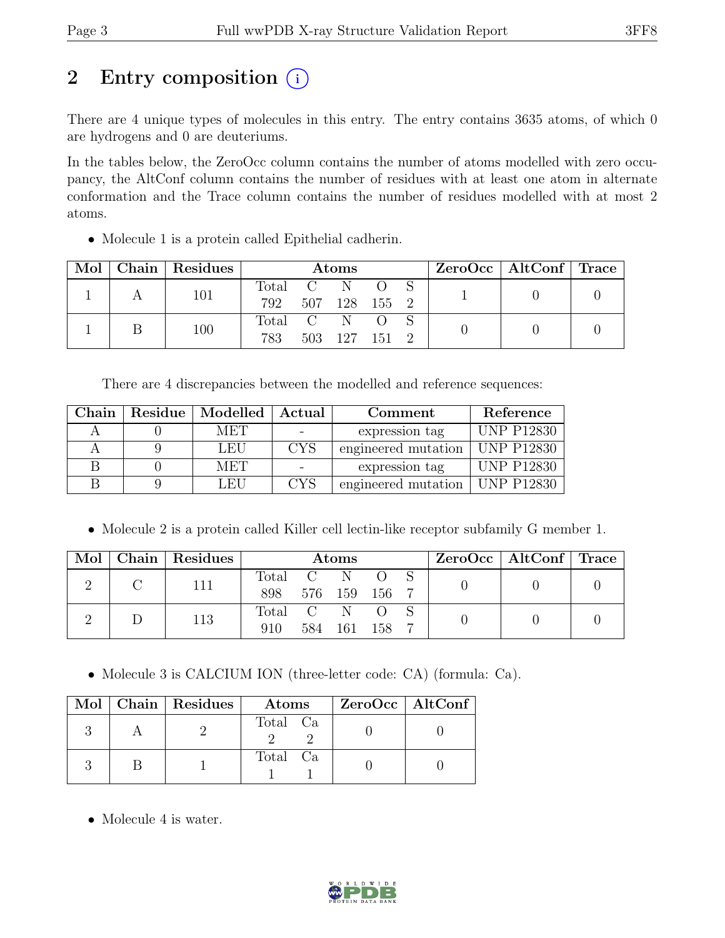## 2 Entry composition  $(i)$

There are 4 unique types of molecules in this entry. The entry contains 3635 atoms, of which 0 are hydrogens and 0 are deuteriums.

In the tables below, the ZeroOcc column contains the number of atoms modelled with zero occupancy, the AltConf column contains the number of residues with at least one atom in alternate conformation and the Trace column contains the number of residues modelled with at most 2 atoms.

• Molecule 1 is a protein called Epithelial cadherin.

| Mol |  | Chain Residues | $\rm{Atoms}$      |  |  |               | ZeroOcc   AltConf   Trace |  |  |  |
|-----|--|----------------|-------------------|--|--|---------------|---------------------------|--|--|--|
|     |  | 101            | Total C           |  |  |               |                           |  |  |  |
|     |  |                | 792 507 128 155 2 |  |  |               |                           |  |  |  |
|     |  | 100            | Total C N         |  |  |               |                           |  |  |  |
|     |  |                | 783               |  |  | 503 127 151 2 |                           |  |  |  |

There are 4 discrepancies between the modelled and reference sequences:

| Chain | Residue   Modelled | Actual     | Comment             | Reference         |
|-------|--------------------|------------|---------------------|-------------------|
|       | MET                |            | expression tag      | <b>UNP P12830</b> |
|       | LEU                | <b>CYS</b> | engineered mutation | <b>UNP P12830</b> |
|       | <b>MET</b>         |            | expression tag      | <b>UNP P12830</b> |
|       | LEH                | CYS        | engineered mutation | $\mid$ UNP P12830 |

• Molecule 2 is a protein called Killer cell lectin-like receptor subfamily G member 1.

| Mol | Chain   Residues | Atoms          |                |    |         | $ZeroOcc \mid AltConf \mid Trace$ |  |  |
|-----|------------------|----------------|----------------|----|---------|-----------------------------------|--|--|
|     | 111              | Total<br>898   | C N<br>576 159 |    | $-156$  |                                   |  |  |
|     | 113              | Total C<br>910 | 584            | -N | 161 158 |                                   |  |  |

• Molecule 3 is CALCIUM ION (three-letter code: CA) (formula: Ca).

|  | Mol   Chain   Residues | Atoms    | ZeroOcc   AltConf |
|--|------------------------|----------|-------------------|
|  |                        | Total Ca |                   |
|  |                        | Total Ca |                   |

• Molecule 4 is water.

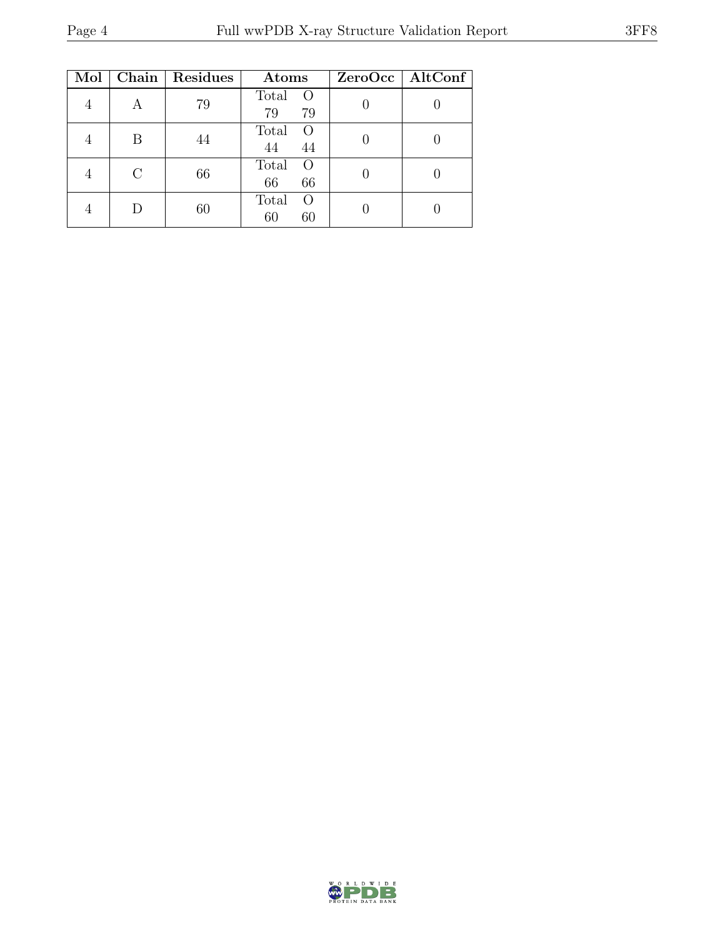| Mol |   | Chain   Residues | Atoms                                 | $ZeroOcc$   AltConf |
|-----|---|------------------|---------------------------------------|---------------------|
|     |   | 79               | Total<br>$\circ$<br>79<br>79          |                     |
|     | B | 44               | Total<br>$\left( \right)$<br>44<br>44 |                     |
|     |   | 66               | Total<br>$\left( \right)$<br>66<br>66 |                     |
|     |   | 60               | Total<br>$\left( \right)$<br>60<br>60 |                     |

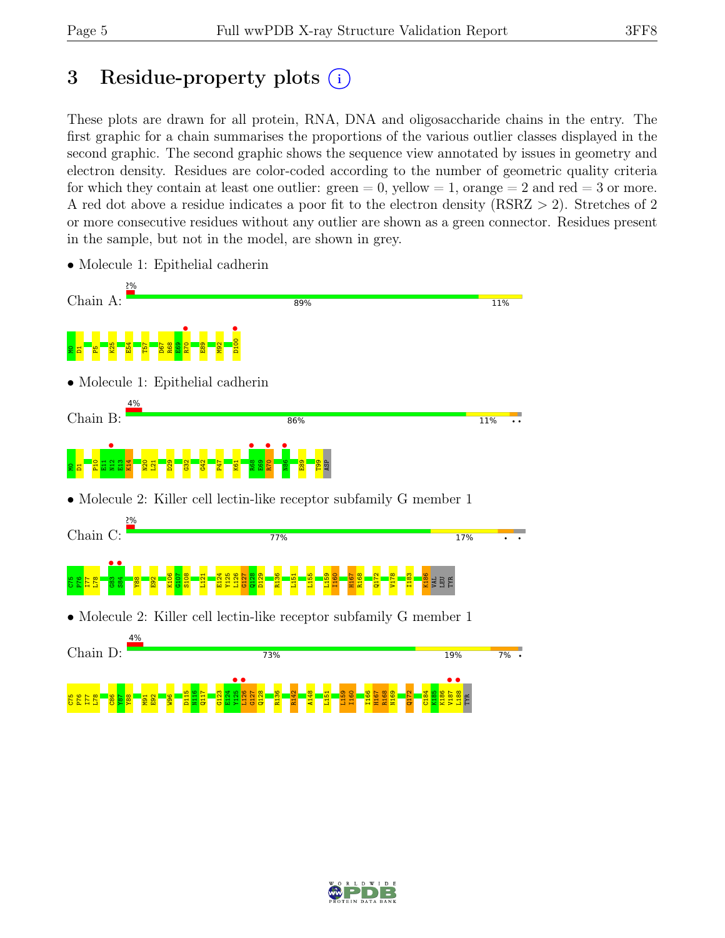## 3 Residue-property plots (i)

These plots are drawn for all protein, RNA, DNA and oligosaccharide chains in the entry. The first graphic for a chain summarises the proportions of the various outlier classes displayed in the second graphic. The second graphic shows the sequence view annotated by issues in geometry and electron density. Residues are color-coded according to the number of geometric quality criteria for which they contain at least one outlier:  $green = 0$ , yellow  $= 1$ , orange  $= 2$  and red  $= 3$  or more. A red dot above a residue indicates a poor fit to the electron density (RSRZ > 2). Stretches of 2 or more consecutive residues without any outlier are shown as a green connector. Residues present in the sample, but not in the model, are shown in grey.



• Molecule 1: Epithelial cadherin

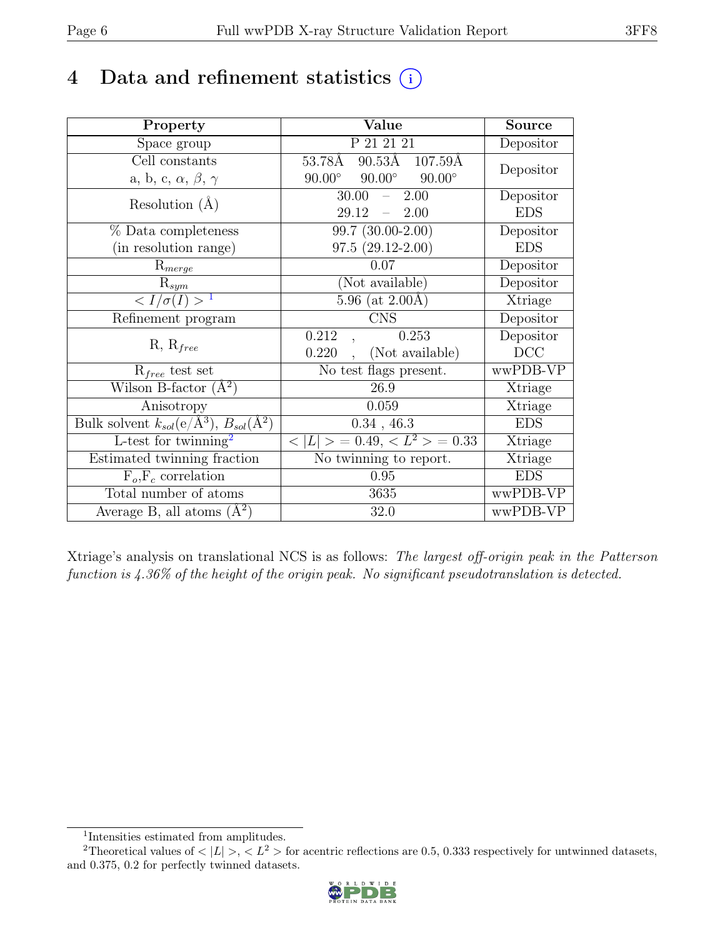## 4 Data and refinement statistics  $(i)$

| Property                                                             | Value                                           | Source                       |
|----------------------------------------------------------------------|-------------------------------------------------|------------------------------|
| Space group                                                          | P 21 21 21                                      | Depositor                    |
| Cell constants                                                       | $90.5\overline{3A}$ 107.59Å<br>53.78Å           | Depositor                    |
| a, b, c, $\alpha$ , $\beta$ , $\gamma$                               | $90.00^\circ$<br>$90.00^\circ$<br>$90.00^\circ$ |                              |
| Resolution $(A)$                                                     | 30.00<br>2.00<br>$\equiv$                       | Depositor                    |
|                                                                      | 29.12<br>2.00<br>$\equiv$                       | <b>EDS</b>                   |
| % Data completeness                                                  | 99.7 (30.00-2.00)                               | Depositor                    |
| (in resolution range)                                                | $97.5(29.12-2.00)$                              | <b>EDS</b>                   |
| $R_{merge}$                                                          | 0.07                                            | Depositor                    |
| $\mathrm{R}_{sym}$                                                   | (Not available)                                 | Depositor                    |
| $\langle I/\sigma(I) \rangle$ <sup>1</sup>                           | $5.96$ (at $2.00\text{\AA}$ )                   | Xtriage                      |
| Refinement program                                                   | <b>CNS</b>                                      | Depositor                    |
| $R, R_{free}$                                                        | 0.212<br>0.253                                  | Depositor                    |
|                                                                      | (Not available)<br>0.220                        | DCC                          |
| $R_{free}$ test set                                                  | No test flags present.                          | wwPDB-VP                     |
| Wilson B-factor $(A^2)$                                              | 26.9                                            | Xtriage                      |
| Anisotropy                                                           | 0.059                                           | Xtriage                      |
| Bulk solvent $k_{sol}(e/\mathring{A}^3)$ , $B_{sol}(\mathring{A}^2)$ | $0.34$ , 46.3                                   | <b>EDS</b>                   |
| L-test for twinning <sup>2</sup>                                     | $< L >$ = 0.49, $< L^2 >$ = 0.33                | $\overline{\text{X}}$ triage |
| Estimated twinning fraction                                          | No twinning to report.                          | Xtriage                      |
| $\overline{F_o,F_c}$ correlation                                     | 0.95                                            | <b>EDS</b>                   |
| Total number of atoms                                                | 3635                                            | wwPDB-VP                     |
| Average B, all atoms $(A^2)$                                         | 32.0                                            | wwPDB-VP                     |

Xtriage's analysis on translational NCS is as follows: The largest off-origin peak in the Patterson function is 4.36% of the height of the origin peak. No significant pseudotranslation is detected.

<sup>&</sup>lt;sup>2</sup>Theoretical values of  $\langle |L| \rangle$ ,  $\langle L^2 \rangle$  for acentric reflections are 0.5, 0.333 respectively for untwinned datasets, and 0.375, 0.2 for perfectly twinned datasets.



<span id="page-5-1"></span><span id="page-5-0"></span><sup>1</sup> Intensities estimated from amplitudes.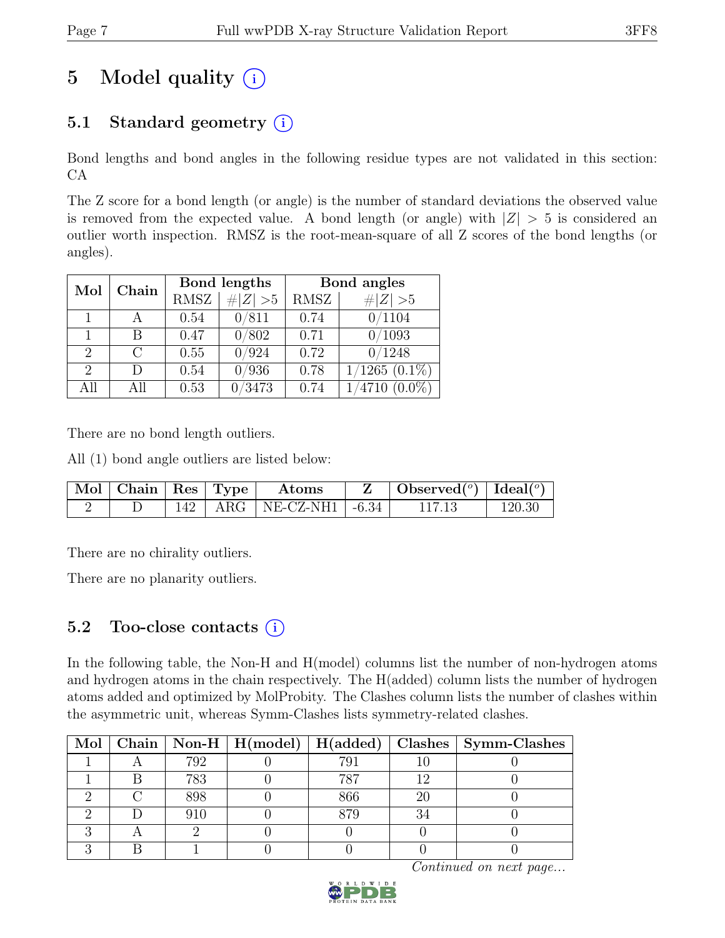# 5 Model quality  $(i)$

## 5.1 Standard geometry  $(i)$

Bond lengths and bond angles in the following residue types are not validated in this section: CA

The Z score for a bond length (or angle) is the number of standard deviations the observed value is removed from the expected value. A bond length (or angle) with  $|Z| > 5$  is considered an outlier worth inspection. RMSZ is the root-mean-square of all Z scores of the bond lengths (or angles).

| Mol                         | Chain     |             | Bond lengths | Bond angles |                    |  |
|-----------------------------|-----------|-------------|--------------|-------------|--------------------|--|
|                             |           | <b>RMSZ</b> | $\# Z  > 5$  | RMSZ        | $\# Z  > 5$        |  |
|                             |           | 0.54        | 0/811        | 0.74        | 0/1104             |  |
|                             | В         | 0.47        | 0/802        | 0.71        | 0/1093             |  |
| $\overline{2}$              | $\bigcap$ | 0.55        | 0/924        | 0.72        | 0/1248             |  |
| $\mathcal{D}_{\mathcal{L}}$ | D         | 0.54        | 0/936        | 0.78        | $1/1265$ $(0.1\%)$ |  |
| All                         | All       | 0.53        | 0/3473       | 0.74        | $4710(0.0\%)$      |  |

There are no bond length outliers.

All (1) bond angle outliers are listed below:

|  |  | Mol   Chain   Res   Type   Atoms | $\mathbf{Z}$   Observed( $^o$ )   Ideal( $^o$ ) |        |
|--|--|----------------------------------|-------------------------------------------------|--------|
|  |  | 142   ARG   NE-CZ-NH1   $-6.34$  | 117.13                                          | 120.30 |

There are no chirality outliers.

There are no planarity outliers.

## 5.2 Too-close contacts  $(i)$

In the following table, the Non-H and H(model) columns list the number of non-hydrogen atoms and hydrogen atoms in the chain respectively. The H(added) column lists the number of hydrogen atoms added and optimized by MolProbity. The Clashes column lists the number of clashes within the asymmetric unit, whereas Symm-Clashes lists symmetry-related clashes.

|  |     |     |              | Mol   Chain   Non-H   H(model)   $\overline{H}$ (added)   Clashes   Symm-Clashes |
|--|-----|-----|--------------|----------------------------------------------------------------------------------|
|  | 792 | 791 |              |                                                                                  |
|  | 783 | 787 |              |                                                                                  |
|  | 898 | 866 | 20           |                                                                                  |
|  | 910 | 879 | $\mathbf{Q}$ |                                                                                  |
|  |     |     |              |                                                                                  |
|  |     |     |              |                                                                                  |

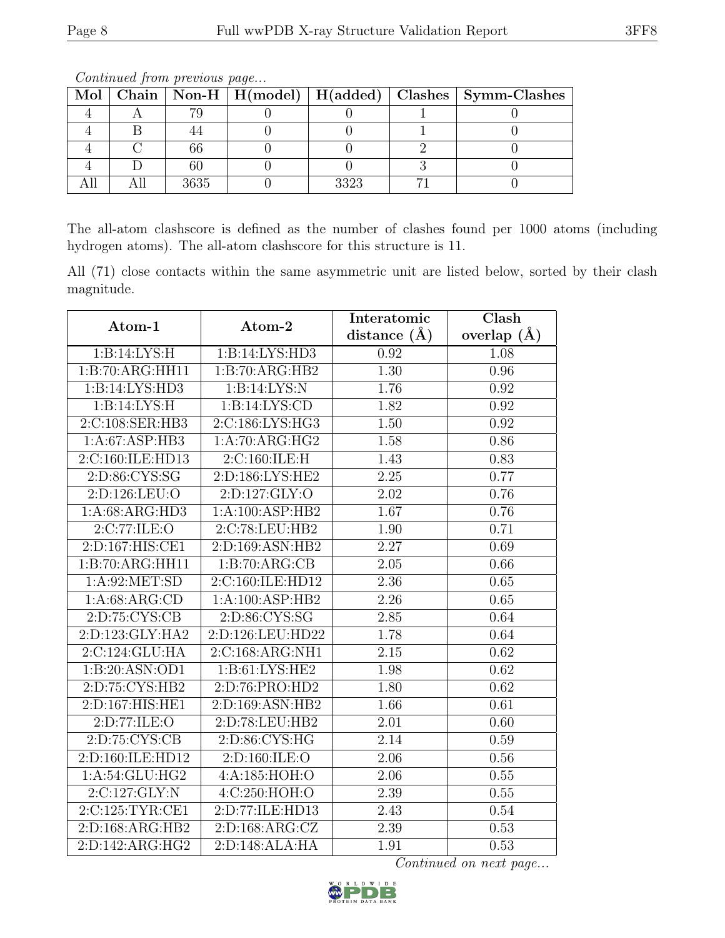|  |      |      | Mol   Chain   Non-H   H(model)   H(added)   Clashes   Symm-Clashes |
|--|------|------|--------------------------------------------------------------------|
|  |      |      |                                                                    |
|  |      |      |                                                                    |
|  |      |      |                                                                    |
|  |      |      |                                                                    |
|  | 3635 | 3323 |                                                                    |

Continued from previous page...

The all-atom clashscore is defined as the number of clashes found per 1000 atoms (including hydrogen atoms). The all-atom clashscore for this structure is 11.

All (71) close contacts within the same asymmetric unit are listed below, sorted by their clash magnitude.

| Atom-1            | Atom-2            | Interatomic       | Clash         |
|-------------------|-------------------|-------------------|---------------|
|                   |                   | distance $(A)$    | overlap $(A)$ |
| 1: B:14: LYS:H    | 1:B:14:LYS:HD3    | 0.92              | 1.08          |
| 1:B:70:ARG:HH11   | 1:B:70:ARG:HB2    | 1.30              | 0.96          |
| 1:B:14:LYS:HD3    | 1:B:14:LYS:N      | 1.76              | 0.92          |
| 1:B:14:LYS:H      | 1: B: 14: LYS: CD | 1.82              | 0.92          |
| 2:C:108:SER:HB3   | 2:C:186:LYS:HG3   | 1.50              | 0.92          |
| 1: A:67:ASP:HB3   | 1:A:70:ARG:HG2    | 1.58              | 0.86          |
| 2:C:160:ILE:HD13  | 2:C:160:ILE:H     | 1.43              | 0.83          |
| 2:D:86:CYS:SG     | 2:D:186:LYS:HE2   | 2.25              | 0.77          |
| 2:D:126:LEU:O     | 2:D:127:GLY:O     | 2.02              | 0.76          |
| 1: A:68: ARG:HD3  | 1:A:100:ASP:HB2   | 1.67              | 0.76          |
| 2:C:77:ILE:O      | 2:C:78:LEU:HB2    | 1.90              | 0.71          |
| 2:D:167:HIS:CE1   | 2:D:169:ASN:HB2   | $\overline{2.27}$ | 0.69          |
| 1:B:70:ARG:HH11   | 1:B:70:ARG:CB     | 2.05              | 0.66          |
| 1: A:92:MET:SD    | 2:C:160:ILE:HD12  | 2.36              | 0.65          |
| 1: A:68: ARG:CD   | 1:A:100:ASP:HB2   | $\overline{2.26}$ | 0.65          |
| 2:D:75:CYS:CB     | 2:D:86:CYS:SG     | 2.85              | 0.64          |
| 2:D:123:GLY:HA2   | 2:D:126:LEU:HD22  | 1.78              | 0.64          |
| 2:C:124:GLU:HA    | 2:C:168:ARG:NH1   | 2.15              | 0.62          |
| 1:B:20:ASN:OD1    | 1: B:61: LYS: HE2 | 1.98              | 0.62          |
| 2:D:75:CYS:HB2    | 2:D:76:PRO:HD2    | 1.80              | 0.62          |
| 2:D:167:HIS:HE1   | 2:D:169:ASN:HB2   | 1.66              | 0.61          |
| 2:D:77:ILE:O      | 2:D:78:LEU:HB2    | 2.01              | 0.60          |
| 2: D: 75: CYS: CB | 2:D:86:CYS:HG     | 2.14              | 0.59          |
| 2:D:160:ILE:HD12  | 2:D:160:ILE:O     | 2.06              | 0.56          |
| 1:A:54:GLU:HG2    | 4:A:185:HOH:O     | 2.06              | 0.55          |
| 2:C:127:GLY:N     | 4:C:250:HOH:O     | 2.39              | 0.55          |
| 2:C:125:TYR:CE1   | 2:D:77:ILE:HD13   | 2.43              | 0.54          |
| 2:D:168:ARG:HB2   | 2:D:168:ARG:CZ    | 2.39              | 0.53          |
| 2:D:142:ARG:HG2   | 2:D:148:ALA:HA    | 1.91              | 0.53          |

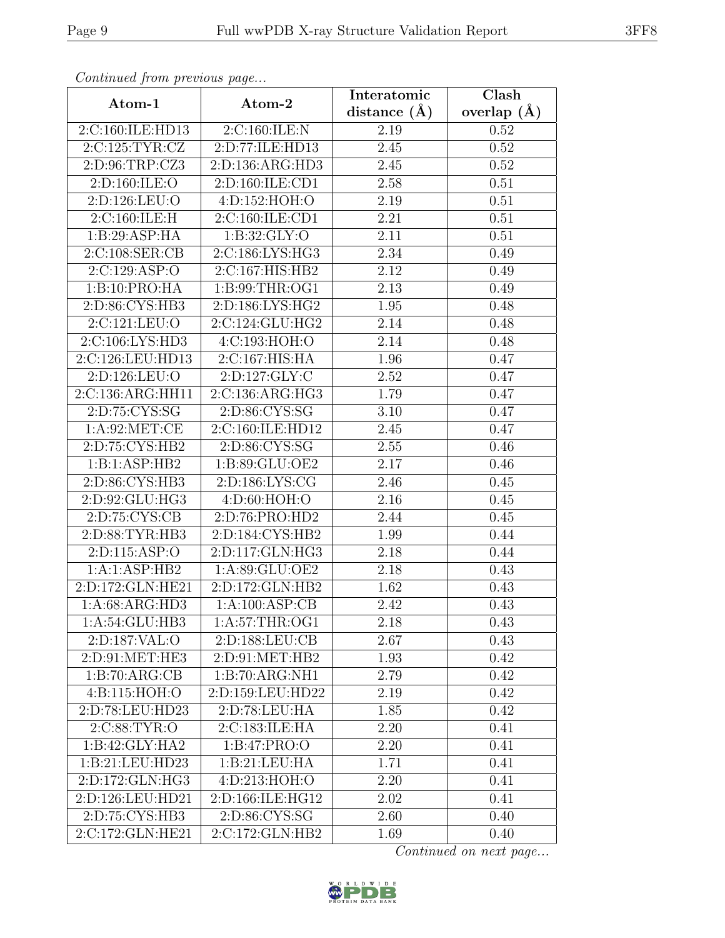| Continuea from previous page |                               | Interatomic       | Clash         |
|------------------------------|-------------------------------|-------------------|---------------|
| Atom-1                       | Atom-2                        | distance $(A)$    | overlap $(A)$ |
| 2:C:160:ILE:HD13             | 2:C:160:ILE:N                 | 2.19              | 0.52          |
| 2:C:125:TYR:CZ               | 2:D:77:ILE:HD13               | $\overline{2.45}$ | 0.52          |
| 2:D:96:TRP:CZ3               | 2:D:136:ARG:HD3               | 2.45              | 0.52          |
| 2:D:160:ILE:O                | 2:D:160:ILE:CD1               | 2.58              | 0.51          |
| 2:D:126:LEU:O                | 4: D: 152: HOH: O             | 2.19              | 0.51          |
| 2:C:160:ILE:H                | 2:C:160:ILE:CD1               | 2.21              | 0.51          |
| 1:B:29:ASP:HA                | 1: B:32: GLY:O                | $\overline{2}.11$ | 0.51          |
| 2:C:108:SER:CB               | 2:C:186:LYS:HG3               | 2.34              | 0.49          |
| 2:C:129:ASP:O                | 2:C:167:HIS:HB2               | 2.12              | 0.49          |
| 1:B:10:PRO:HA                | 1:B:99:THR:OG1                | 2.13              | 0.49          |
| 2:D:86:CYS:HB3               | 2:D:186:LYS:HG2               | 1.95              | 0.48          |
| 2:C:121:LEU:O                | 2:C:124:GLU:HG2               | 2.14              | 0.48          |
| 2:C:106:LYS:HD3              | 4:C:193:HOH:O                 | 2.14              | 0.48          |
| 2:C:126:LEU:HD13             | 2:C:167:HIS:HA                | 1.96              | 0.47          |
| 2:D:126:LEU:O                | 2:D:127:GLY:C                 | 2.52              | 0.47          |
| 2:C:136:ARG:HH11             | 2:C:136:ARG:HG3               | 1.79              | 0.47          |
| 2:D:75:CYS:SG                | 2:D:86:CYS:SG                 | 3.10              | 0.47          |
| 1: A:92:MET:CE               | 2:C:160:ILE:HD12              | 2.45              | 0.47          |
| 2:D:75:CYS:HB2               | 2:D:86:CYS:SG                 | 2.55              | 0.46          |
| 1:B:1:ASP:HB2                | 1:B:89:GLU:OE2                | 2.17              | 0.46          |
| 2:D:86:CYS:HB3               | 2:D:186:LYS:CG                | 2.46              | 0.45          |
| 2:D:92:GLU:HG3               | 4:D:60:HOH:O                  | 2.16              | 0.45          |
| 2:D:75:CYS:CB                | 2:D:76:PRO:HD2                | 2.44              | 0.45          |
| 2:D:88:TYR:HB3               | 2:D:184:CYS:HB2               | 1.99              | 0.44          |
| 2:D:115:ASP:O                | 2:D:117:GLN:HG3               | 2.18              | 0.44          |
| 1:A:1:ASP:HB2                | 1:A:89:GLU:OE2                | 2.18              | 0.43          |
| 2:D:172:GLN:HE21             | 2:D:172:GLN:HB2               | 1.62              | 0.43          |
| 1:A:68:ARG:HD3               | 1:A:100:ASP:CB                | 2.42              | 0.43          |
| 1:A:54:GLU:HB3               | 1:A:57:THR:OG1                | 2.18              | 0.43          |
| 2:D:187:VAL:O                | 2: D: 188: LEU: CB            | 2.67              | 0.43          |
| 2:D:91:MET:HE3               | $2: D:91: \overline{MET:HB2}$ | 1.93              | 0.42          |
| 1:B:70:ARG:CB                | 1:B:70:ARG:NH1                | 2.79              | 0.42          |
| 4:B:115:HOH:O                | 2:D:159:LEU:HD22              | 2.19              | 0.42          |
| 2:D:78:LEU:HD23              | 2:D:78:LEU:HA                 | 1.85              | 0.42          |
| 2:C:88:TYR:O                 | 2:C:183:ILE:HA                | 2.20              | 0.41          |
| 1:B:42:GLY:HA2               | 1:B:47:PRO:O                  | 2.20              | 0.41          |
| 1:B:21:LEU:HD23              | 1:B:21:LEU:HA                 | 1.71              | 0.41          |
| 2:D:172:GLN:HG3              | 4:D:213:HOH:O                 | 2.20              | 0.41          |
| 2:D:126:LEU:HD21             | 2:D:166:ILE:HG12              | 2.02              | 0.41          |
| 2:D:75:CYS:HB3               | 2:D:86:CYS:SG                 | 2.60              | 0.40          |
| 2:C:172:GLN:HE21             | 2:C:172:GLN:HB2               | 1.69              | 0.40          |

Continued from previous page.

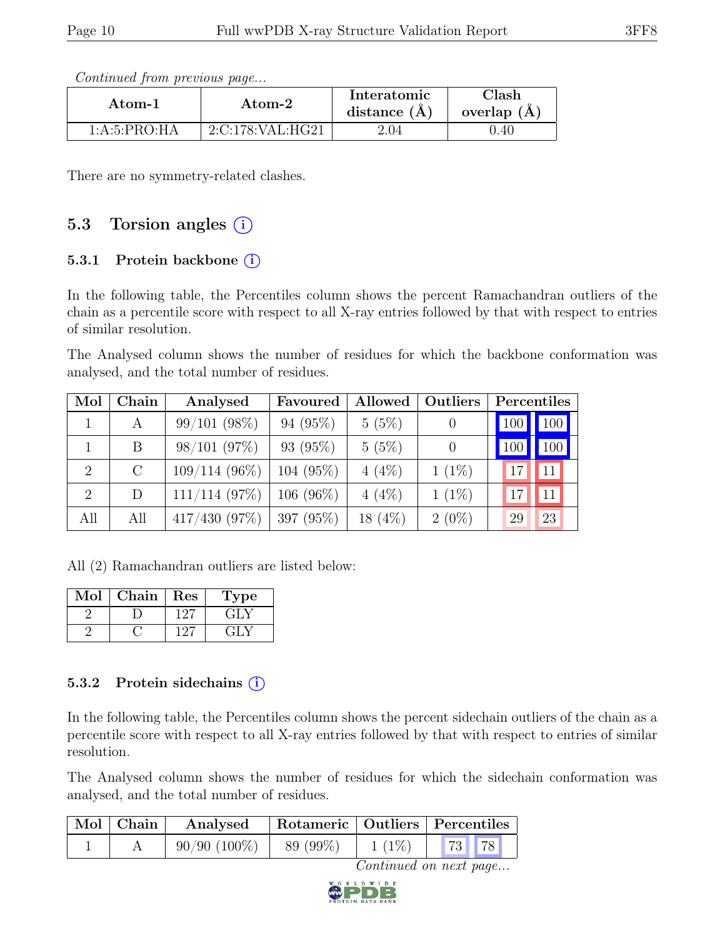Continued from previous page...

| Atom-1         | Atom-2           | Interatomic<br>distance $(A)$ | Clash<br>overlap $(A)$ |
|----------------|------------------|-------------------------------|------------------------|
| 1: A:5: PRO:HA | 2:C:178:VAL:HG21 | $2.04\,$                      | J.40                   |

There are no symmetry-related clashes.

### 5.3 Torsion angles  $(i)$

#### 5.3.1 Protein backbone (i)

In the following table, the Percentiles column shows the percent Ramachandran outliers of the chain as a percentile score with respect to all X-ray entries followed by that with respect to entries of similar resolution.

The Analysed column shows the number of residues for which the backbone conformation was analysed, and the total number of residues.

| Mol            | Chain   | Analysed          | Favoured    | Allowed    | <b>Outliers</b>  | Percentiles         |
|----------------|---------|-------------------|-------------|------------|------------------|---------------------|
|                | А       | $99/101$ $(98\%)$ | $94(95\%)$  | 5(5%)      |                  | 100 <br>, 100       |
|                | B       | $98/101$ $(97\%)$ | 93 (95%)    | 5(5%)      | $\left( \right)$ | 100<br>100          |
| $\overline{2}$ | $\rm C$ | $109/114(96\%)$   | 104 (95%)   | $4(4\%)$   | $1(1\%)$         | <sup>11</sup><br>17 |
| $\overline{2}$ | D       | $111/114$ (97%)   | $106(96\%)$ | $4(4\%)$   | $1(1\%)$         | 11<br>17            |
| All            | All     | $417/430$ (97%)   | 397 (95%)   | 18 $(4\%)$ | $2(0\%)$         | 23<br>29            |

All (2) Ramachandran outliers are listed below:

| $\operatorname{Mol}$ | Chain | Res     | ype   |
|----------------------|-------|---------|-------|
|                      |       | $\cdot$ | ÷LΛ   |
|                      |       | $\cdot$ | د ∫ډ∙ |

#### 5.3.2 Protein sidechains (i)

In the following table, the Percentiles column shows the percent sidechain outliers of the chain as a percentile score with respect to all X-ray entries followed by that with respect to entries of similar resolution.

The Analysed column shows the number of residues for which the sidechain conformation was analysed, and the total number of residues.

| $\mid$ Mol $\mid$ Chain $\mid$ | Analysed       |           |          | Rotameric   Outliers   Percentiles |
|--------------------------------|----------------|-----------|----------|------------------------------------|
|                                | $90/90(100\%)$ | 89 (99\%) | $1(1\%)$ | $\mid$ 73 $\mid$ 78                |

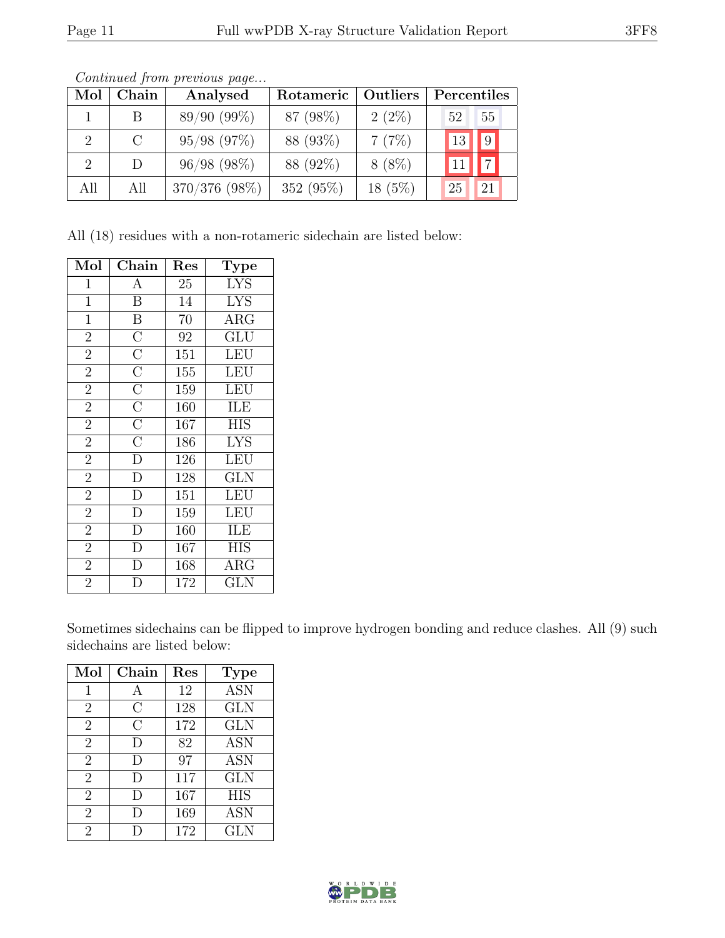| Mol | Chain   | Analysed         | Rotameric    | <b>Outliers</b> | Percentiles      |
|-----|---------|------------------|--------------|-----------------|------------------|
|     | B       | $89/90(99\%)$    | 87 (98%)     | $2(2\%)$        | 55<br>52         |
| 2   | $\rm C$ | $95/98$ $(97\%)$ | 88 (93%)     | 7(7%)           | $\sqrt{9}$<br>13 |
| 2   | D       | $96/98(98\%)$    | 88 (92%)     | $8(8\%)$        |                  |
| All | All     | 370/376 (98%)    | 352 $(95\%)$ | $18(5\%)$       | 25<br>21         |

Continued from previous page...

All (18) residues with a non-rotameric sidechain are listed below:

| Mol            | Chain                   | $\operatorname{Res}% \left( \mathcal{N}\right) \equiv\operatorname{Res}(\mathcal{N}_{0},\mathcal{N}_{0})$ | Type                    |
|----------------|-------------------------|-----------------------------------------------------------------------------------------------------------|-------------------------|
| 1              | А                       | 25                                                                                                        | $\overline{\text{LYS}}$ |
| $\mathbf{1}$   | $\boldsymbol{B}$        | 14                                                                                                        | <b>LYS</b>              |
| $\mathbf{1}$   | $\overline{\mathbf{B}}$ | 70                                                                                                        | $\rm{ARG}$              |
| $\overline{2}$ | $\overline{\rm C}$      | 92                                                                                                        | GLU                     |
| $\overline{2}$ | $\overline{C}$          | 151                                                                                                       | <b>LEU</b>              |
| $\overline{2}$ | $\overline{C}$          | 155                                                                                                       | <b>LEU</b>              |
| $\overline{2}$ | $\overline{C}$          | 159                                                                                                       | <b>LEU</b>              |
| $\overline{2}$ | $\overline{C}$          | 160                                                                                                       | ILE                     |
| $\overline{2}$ | $\overline{C}$          | 167                                                                                                       | <b>HIS</b>              |
| $\overline{2}$ | $\overline{\rm C}$      | 186                                                                                                       | <b>LYS</b>              |
| $\overline{2}$ | $\overline{D}$          | 126                                                                                                       | <b>LEU</b>              |
| $\overline{2}$ | $\overline{D}$          | 128                                                                                                       | <b>GLN</b>              |
| $\overline{2}$ | $\overline{D}$          | 151                                                                                                       | <b>LEU</b>              |
| $\overline{2}$ | $\overline{D}$          | 159                                                                                                       | <b>LEU</b>              |
| $\overline{2}$ | $\overline{D}$          | 160                                                                                                       | ILE                     |
| $\overline{2}$ | $\overline{D}$          | 167                                                                                                       | <b>HIS</b>              |
| $\overline{2}$ | $\overline{\rm D}$      | 168                                                                                                       | <b>ARG</b>              |
| $\overline{2}$ | D                       | $\overline{1}72$                                                                                          | GLN                     |

Sometimes sidechains can be flipped to improve hydrogen bonding and reduce clashes. All (9) such sidechains are listed below:

| Mol            | $Chain$   | Res | <b>Type</b>             |
|----------------|-----------|-----|-------------------------|
| 1              | А         | 12  | <b>ASN</b>              |
| $\overline{2}$ | С         | 128 | <b>GLN</b>              |
| $\overline{2}$ | C         | 172 | <b>GLN</b>              |
| $\overline{2}$ | $\vert$ ) | 82  | <b>ASN</b>              |
| $\overline{2}$ | D         | 97  | <b>ASN</b>              |
| $\overline{2}$ | $\vert$ ) | 117 | $\overline{\text{GLN}}$ |
| $\overline{2}$ | $\vert$ ) | 167 | <b>HIS</b>              |
| $\overline{2}$ | D         | 169 | <b>ASN</b>              |
| $\overline{2}$ |           | 172 | <b>GLN</b>              |

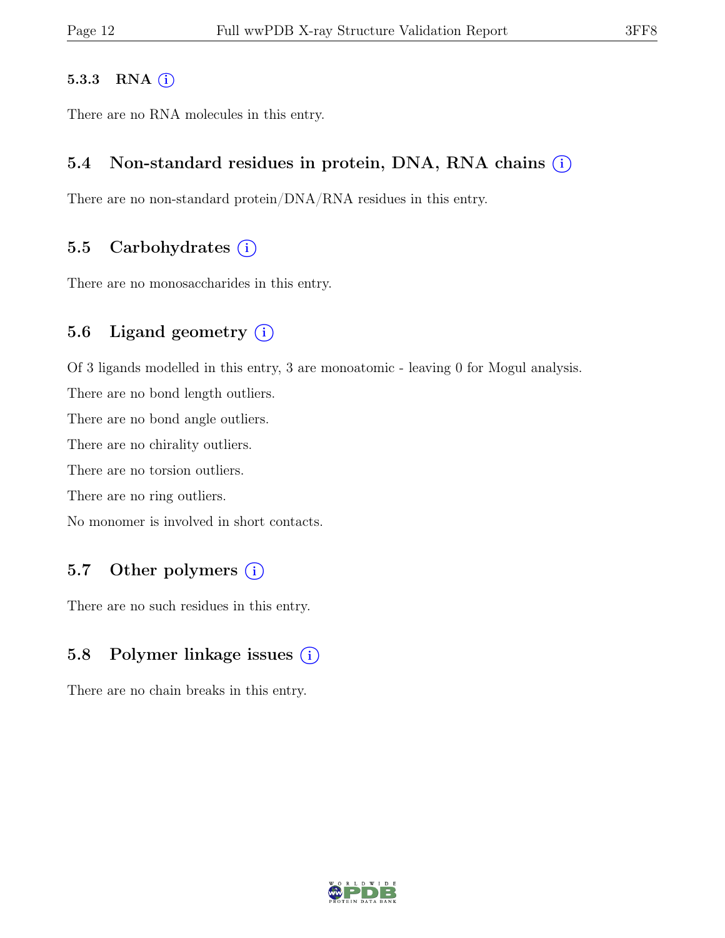#### 5.3.3 RNA  $(i)$

There are no RNA molecules in this entry.

#### 5.4 Non-standard residues in protein, DNA, RNA chains  $(i)$

There are no non-standard protein/DNA/RNA residues in this entry.

#### 5.5 Carbohydrates  $(i)$

There are no monosaccharides in this entry.

### 5.6 Ligand geometry  $(i)$

Of 3 ligands modelled in this entry, 3 are monoatomic - leaving 0 for Mogul analysis.

There are no bond length outliers.

There are no bond angle outliers.

There are no chirality outliers.

There are no torsion outliers.

There are no ring outliers.

No monomer is involved in short contacts.

### 5.7 Other polymers  $(i)$

There are no such residues in this entry.

### 5.8 Polymer linkage issues  $(i)$

There are no chain breaks in this entry.

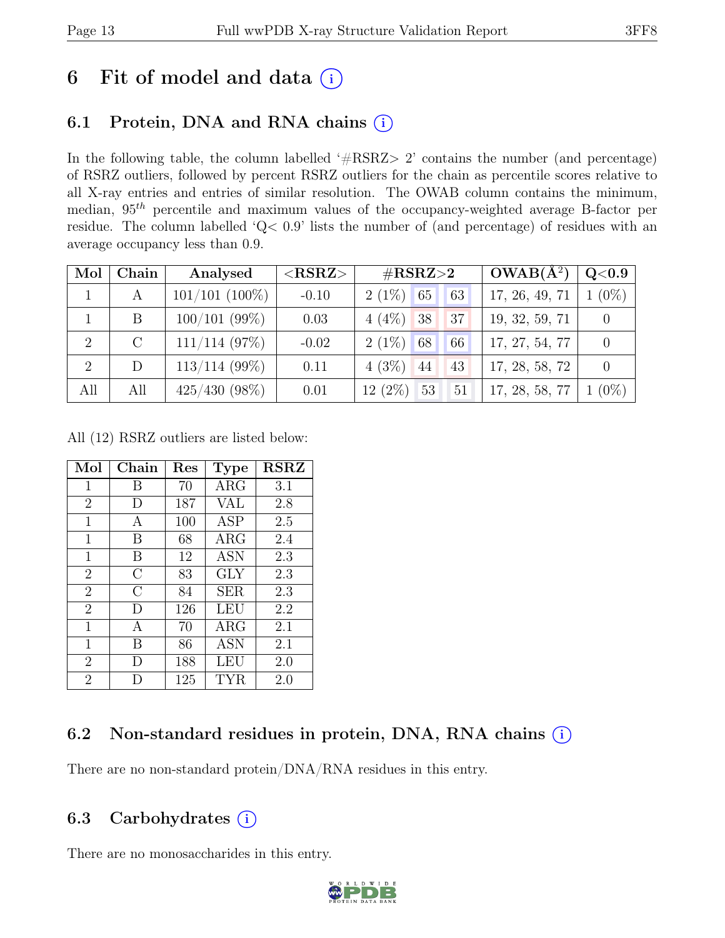## 6 Fit of model and data  $(i)$

## 6.1 Protein, DNA and RNA chains  $(i)$

In the following table, the column labelled ' $\#\text{RSRZ}>2$ ' contains the number (and percentage) of RSRZ outliers, followed by percent RSRZ outliers for the chain as percentile scores relative to all X-ray entries and entries of similar resolution. The OWAB column contains the minimum, median,  $95<sup>th</sup>$  percentile and maximum values of the occupancy-weighted average B-factor per residue. The column labelled 'Q< 0.9' lists the number of (and percentage) of residues with an average occupancy less than 0.9.

| Mol | Chain   | Analysed         | $<$ RSRZ $>$ | $\#\text{RSRZ}\text{>2}$          | $OWAB(A^2)$    | Q <sub>0.9</sub> |
|-----|---------|------------------|--------------|-----------------------------------|----------------|------------------|
|     | А       | $101/101$ (100%) | $-0.10$      | $2(1\%)$<br>65<br>63 <sub>1</sub> | 17, 26, 49, 71 | $1(0\%)$         |
|     | B       | $100/101$ (99%)  | 0.03         | $4(4\%)$<br>38<br>37              | 19, 32, 59, 71 |                  |
| 2   | $\rm C$ | $111/114$ (97%)  | $-0.02$      | $2(1\%)$<br>68 <sub>1</sub><br>66 | 17, 27, 54, 77 |                  |
| 2   | D       | $113/114$ (99%)  | 0.11         | $4(3\%)$<br>44<br>43              | 17, 28, 58, 72 | $\Omega$         |
| All | All     | $425/430(98\%)$  | 0.01         | $12(2\%)$<br>53<br>51             | 17, 28, 58, 77 | $1(0\%)$         |

All (12) RSRZ outliers are listed below:

| Mol            | Chain          | $\operatorname{Res}% \left( \mathcal{N}\right) \equiv\operatorname{Res}(\mathcal{N}_{0},\mathcal{N}_{0})$ | <b>Type</b> | <b>RSRZ</b> |
|----------------|----------------|-----------------------------------------------------------------------------------------------------------|-------------|-------------|
| $\mathbf 1$    | В              | 70                                                                                                        | $\rm{ARG}$  | 3.1         |
| $\overline{2}$ | D              | 187                                                                                                       | VAL         | 2.8         |
| 1              | А              | 100                                                                                                       | <b>ASP</b>  | 2.5         |
| 1              | В              | 68                                                                                                        | $\rm{ARG}$  | 2.4         |
| 1              | В              | 12                                                                                                        | ASN         | 2.3         |
| $\overline{2}$ | $\overline{C}$ | 83                                                                                                        | <b>GLY</b>  | 2.3         |
| $\overline{2}$ | $\overline{C}$ | 84                                                                                                        | <b>SER</b>  | 2.3         |
| $\overline{2}$ | D              | 126                                                                                                       | LEU         | 2.2         |
| 1              | A              | 70                                                                                                        | $\rm{ARG}$  | 2.1         |
| 1              | В              | 86                                                                                                        | <b>ASN</b>  | 2.1         |
| $\overline{2}$ | D              | 188                                                                                                       | LEU         | 2.0         |
| $\overline{2}$ |                | 125                                                                                                       | TYR         | 2.0         |

## 6.2 Non-standard residues in protein, DNA, RNA chains  $(i)$

There are no non-standard protein/DNA/RNA residues in this entry.

### 6.3 Carbohydrates  $(i)$

There are no monosaccharides in this entry.